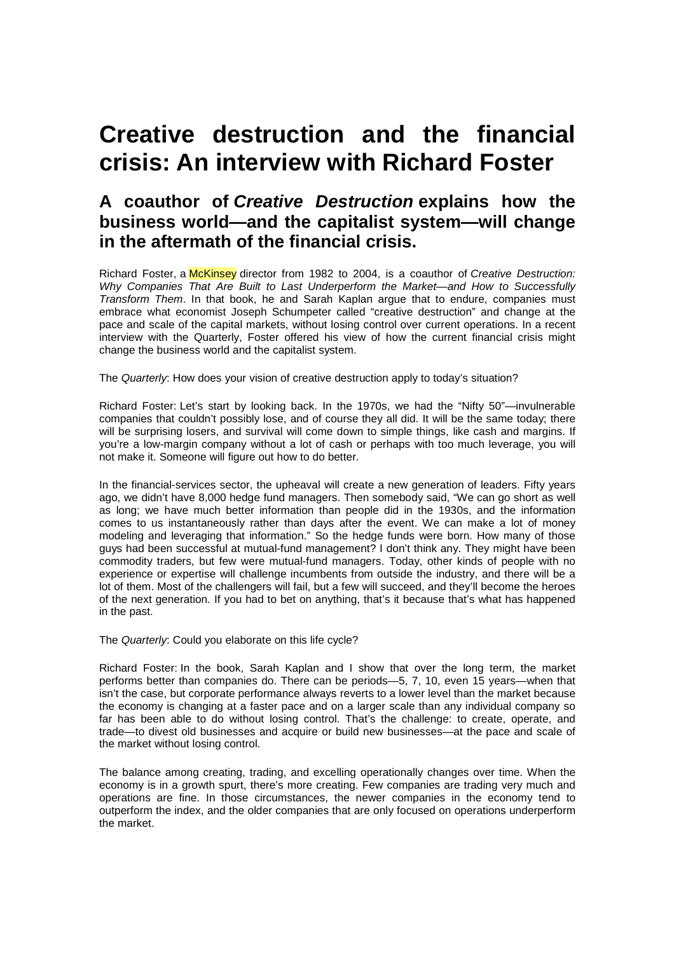## **Creative destruction and the financial crisis: An interview with Richard Foster**

## **A coauthor of Creative Destruction explains how the business world—and the capitalist system—will change in the aftermath of the financial crisis.**

Richard Foster, a McKinsey director from 1982 to 2004, is a coauthor of Creative Destruction: Why Companies That Are Built to Last Underperform the Market—and How to Successfully Transform Them. In that book, he and Sarah Kaplan argue that to endure, companies must embrace what economist Joseph Schumpeter called "creative destruction" and change at the pace and scale of the capital markets, without losing control over current operations. In a recent interview with the Quarterly, Foster offered his view of how the current financial crisis might change the business world and the capitalist system.

The Quarterly: How does your vision of creative destruction apply to today's situation?

Richard Foster: Let's start by looking back. In the 1970s, we had the "Nifty 50"—invulnerable companies that couldn't possibly lose, and of course they all did. It will be the same today; there will be surprising losers, and survival will come down to simple things, like cash and margins. If you're a low-margin company without a lot of cash or perhaps with too much leverage, you will not make it. Someone will figure out how to do better.

In the financial-services sector, the upheaval will create a new generation of leaders. Fifty years ago, we didn't have 8,000 hedge fund managers. Then somebody said, "We can go short as well as long; we have much better information than people did in the 1930s, and the information comes to us instantaneously rather than days after the event. We can make a lot of money modeling and leveraging that information." So the hedge funds were born. How many of those guys had been successful at mutual-fund management? I don't think any. They might have been commodity traders, but few were mutual-fund managers. Today, other kinds of people with no experience or expertise will challenge incumbents from outside the industry, and there will be a lot of them. Most of the challengers will fail, but a few will succeed, and they'll become the heroes of the next generation. If you had to bet on anything, that's it because that's what has happened in the past.

The Quarterly: Could you elaborate on this life cycle?

Richard Foster: In the book, Sarah Kaplan and I show that over the long term, the market performs better than companies do. There can be periods—5, 7, 10, even 15 years—when that isn't the case, but corporate performance always reverts to a lower level than the market because the economy is changing at a faster pace and on a larger scale than any individual company so far has been able to do without losing control. That's the challenge: to create, operate, and trade—to divest old businesses and acquire or build new businesses—at the pace and scale of the market without losing control.

The balance among creating, trading, and excelling operationally changes over time. When the economy is in a growth spurt, there's more creating. Few companies are trading very much and operations are fine. In those circumstances, the newer companies in the economy tend to outperform the index, and the older companies that are only focused on operations underperform the market.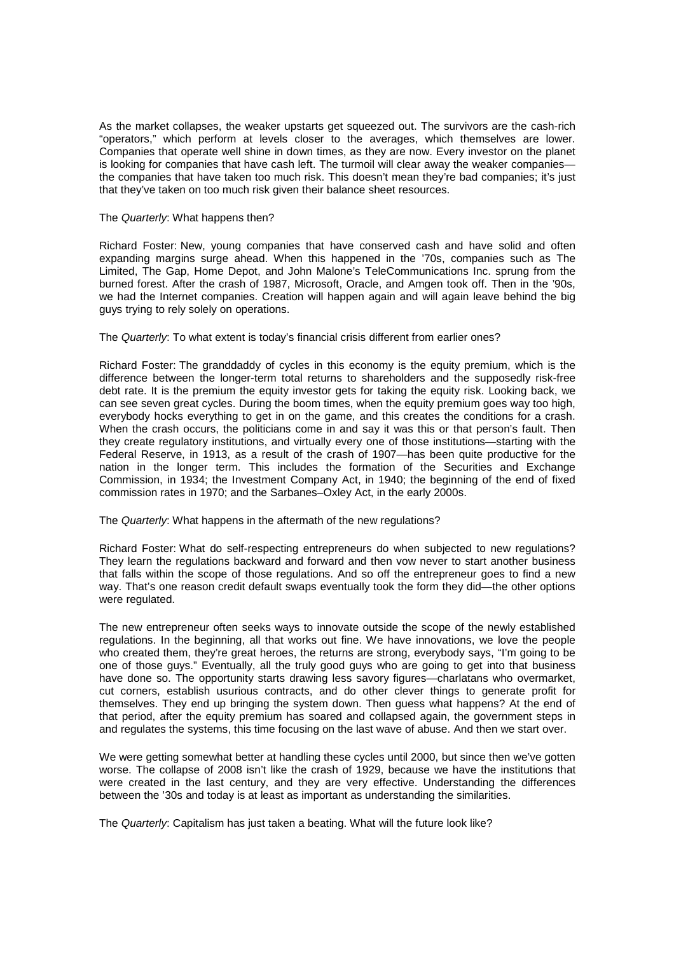As the market collapses, the weaker upstarts get squeezed out. The survivors are the cash-rich "operators," which perform at levels closer to the averages, which themselves are lower. Companies that operate well shine in down times, as they are now. Every investor on the planet is looking for companies that have cash left. The turmoil will clear away the weaker companiesthe companies that have taken too much risk. This doesn't mean they're bad companies; it's just that they've taken on too much risk given their balance sheet resources.

## The Quarterly: What happens then?

Richard Foster: New, young companies that have conserved cash and have solid and often expanding margins surge ahead. When this happened in the '70s, companies such as The Limited, The Gap, Home Depot, and John Malone's TeleCommunications Inc. sprung from the burned forest. After the crash of 1987, Microsoft, Oracle, and Amgen took off. Then in the '90s, we had the Internet companies. Creation will happen again and will again leave behind the big guys trying to rely solely on operations.

The Quarterly: To what extent is today's financial crisis different from earlier ones?

Richard Foster: The granddaddy of cycles in this economy is the equity premium, which is the difference between the longer-term total returns to shareholders and the supposedly risk-free debt rate. It is the premium the equity investor gets for taking the equity risk. Looking back, we can see seven great cycles. During the boom times, when the equity premium goes way too high, everybody hocks everything to get in on the game, and this creates the conditions for a crash. When the crash occurs, the politicians come in and say it was this or that person's fault. Then they create regulatory institutions, and virtually every one of those institutions—starting with the Federal Reserve, in 1913, as a result of the crash of 1907—has been quite productive for the nation in the longer term. This includes the formation of the Securities and Exchange Commission, in 1934; the Investment Company Act, in 1940; the beginning of the end of fixed commission rates in 1970; and the Sarbanes–Oxley Act, in the early 2000s.

The Quarterly: What happens in the aftermath of the new regulations?

Richard Foster: What do self-respecting entrepreneurs do when subjected to new regulations? They learn the regulations backward and forward and then vow never to start another business that falls within the scope of those regulations. And so off the entrepreneur goes to find a new way. That's one reason credit default swaps eventually took the form they did—the other options were regulated.

The new entrepreneur often seeks ways to innovate outside the scope of the newly established regulations. In the beginning, all that works out fine. We have innovations, we love the people who created them, they're great heroes, the returns are strong, everybody says, "I'm going to be one of those guys." Eventually, all the truly good guys who are going to get into that business have done so. The opportunity starts drawing less savory figures—charlatans who overmarket, cut corners, establish usurious contracts, and do other clever things to generate profit for themselves. They end up bringing the system down. Then guess what happens? At the end of that period, after the equity premium has soared and collapsed again, the government steps in and regulates the systems, this time focusing on the last wave of abuse. And then we start over.

We were getting somewhat better at handling these cycles until 2000, but since then we've gotten worse. The collapse of 2008 isn't like the crash of 1929, because we have the institutions that were created in the last century, and they are very effective. Understanding the differences between the '30s and today is at least as important as understanding the similarities.

The Quarterly: Capitalism has just taken a beating. What will the future look like?